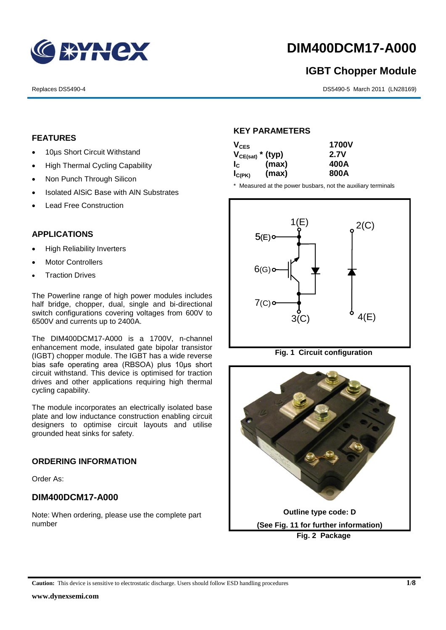

# **DIM400DCM17-A000**

# **IGBT Chopper Module**

Replaces DS5490-4 **DS5490-4** DS5490-5 March 2011 (LN28169)

# **FEATURES**

- 10µs Short Circuit Withstand
- High Thermal Cycling Capability
- Non Punch Through Silicon
- Isolated AISiC Base with AIN Substrates
- Lead Free Construction

# APPLICATIONS

- High Reliability Inverters
- Motor Controllers
- Traction Drives

The Powerline range of high power modules includes half bridge, chopper, dual, single and bi-directional switch configurations covering voltages from 600V to 6500V and currents up to 2400A.

The DIM400DCM17-A000 is a 1700V, n-channel enhancement mode, insulated gate bipolar transistor (IGBT) chopper module. The IGBT has a wide reverse bias safe operating area (RBSOA) plus 10μs short circuit withstand. This device is optimised for traction drives and other applications requiring high thermal cycling capability.

The module incorporates an electrically isolated base plate and low inductance construction enabling circuit designers to optimise circuit layouts and utilise grounded heat sinks for safety.

### **ORDERING INFORMATION**

Order As:

# **DIM400DCM17-A000**

Note: When ordering, please use the complete part number

## **KEY PARAMETERS**

| $V_{CES}$             |       | <b>1700V</b> |  |
|-----------------------|-------|--------------|--|
| $V_{CE(sat)}$ * (typ) |       | 2.7V         |  |
| $I_{\rm C}$           | (max) | 400A         |  |
| $I_{C(PK)}$           | (max) | 800A         |  |

11.5 ±0.2

14 ±0.2

\* Measured at the power busbars, not the auxiliary terminals



**Fig. 1 Circuit configuration**

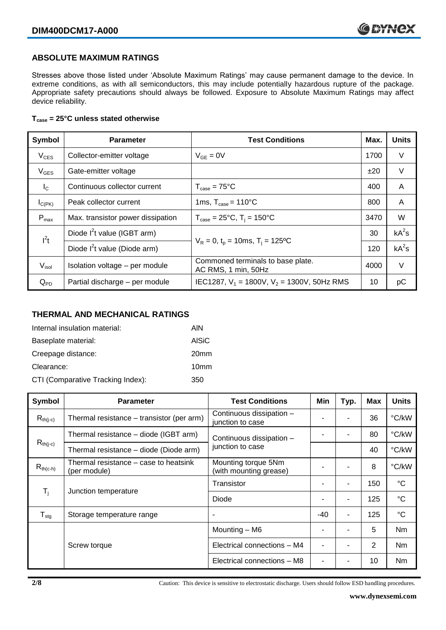### **ABSOLUTE MAXIMUM RATINGS**

Stresses above those listed under 'Absolute Maximum Ratings' may cause permanent damage to the device. In extreme conditions, as with all semiconductors, this may include potentially hazardous rupture of the package. Appropriate safety precautions should always be followed. Exposure to Absolute Maximum Ratings may affect device reliability.

#### **Tcase = 25°C unless stated otherwise**

| Symbol           | <b>Parameter</b>                                                             | <b>Test Conditions</b>                                   |      | <b>Units</b> |
|------------------|------------------------------------------------------------------------------|----------------------------------------------------------|------|--------------|
| $V_{CES}$        | Collector-emitter voltage                                                    | 1700<br>$V_{GE} = 0V$                                    |      | V            |
| $V_{GES}$        | Gate-emitter voltage                                                         |                                                          | ±20  | $\vee$       |
| $I_{\rm C}$      | Continuous collector current                                                 | $T_{\text{case}} = 75^{\circ}C$                          | 400  | A            |
| $I_{C(PK)}$      | 1ms, $T_{\text{case}} = 110^{\circ}$ C<br>Peak collector current             |                                                          | 800  | A            |
| $P_{\text{max}}$ | Max. transistor power dissipation                                            | $T_{\text{case}} = 25^{\circ}C$ , $T_i = 150^{\circ}C$   |      | W            |
| $I^2t$           | Diode $I^2$ t value (IGBT arm)                                               |                                                          | 30   | $kA^2s$      |
|                  | $V_R = 0$ , $t_p = 10$ ms, $T_i = 125$ °C<br>Diode $I^2$ t value (Diode arm) |                                                          | 120  | $kA^2s$      |
| $V_{\sf isol}$   | Isolation voltage - per module                                               | Commoned terminals to base plate.<br>AC RMS, 1 min, 50Hz | 4000 | $\vee$       |
| $Q_{PD}$         | Partial discharge - per module                                               | IEC1287, $V_1$ = 1800V, $V_2$ = 1300V, 50Hz RMS          | 10   | рC           |

#### **THERMAL AND MECHANICAL RATINGS**

| Internal insulation material:     | AIN              |
|-----------------------------------|------------------|
| Baseplate material:               | <b>AISiC</b>     |
| Creepage distance:                | 20 <sub>mm</sub> |
| Clearance:                        | 10 <sub>mm</sub> |
| CTI (Comparative Tracking Index): | 350              |

| Symbol                     | <b>Parameter</b>                                      | <b>Test Conditions</b>                        | Min   | Typ. | Max | <b>Units</b>    |
|----------------------------|-------------------------------------------------------|-----------------------------------------------|-------|------|-----|-----------------|
| $R_{th(i-c)}$              | Thermal resistance - transistor (per arm)             | Continuous dissipation -<br>junction to case  |       |      | 36  | °C/kW           |
|                            | Thermal resistance – diode (IGBT arm)                 | Continuous dissipation -                      |       |      | 80  | °C/kW           |
| $R_{th(j-c)}$              | Thermal resistance - diode (Diode arm)                | junction to case                              |       |      | 40  | °C/kW           |
| $R_{th(c-h)}$              | Thermal resistance – case to heatsink<br>(per module) | Mounting torque 5Nm<br>(with mounting grease) |       | ۰    | 8   | °C/kW           |
| $\mathsf{T}_\mathsf{i}$    | Junction temperature                                  | Transistor                                    |       | ۰    | 150 | $^{\circ}C$     |
|                            |                                                       | Diode                                         |       | ۰    | 125 | $^{\circ}C$     |
| ${\mathsf T}_{\text{stg}}$ | Storage temperature range                             |                                               | $-40$ | ۰    | 125 | $\rm ^{\circ}C$ |
|                            |                                                       | Mounting - M6                                 |       | ۰    | 5   | Nm              |
|                            | Screw torque                                          | Electrical connections - M4                   |       |      | 2   | N <sub>m</sub>  |
|                            |                                                       | Electrical connections - M8                   |       |      | 10  | Nm              |

**2/8** Caution: This device is sensitive to electrostatic discharge. Users should follow ESD handling procedures.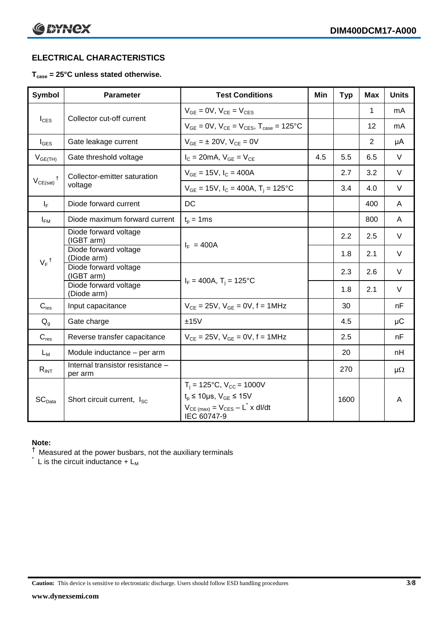# **ELECTRICAL CHARACTERISTICS**

#### **Tcase = 25°C unless stated otherwise.**

| <b>Symbol</b>      | <b>Parameter</b>                                           | <b>Test Conditions</b>                                                                                                                                      | Min | <b>Typ</b> | <b>Max</b>     | <b>Units</b> |
|--------------------|------------------------------------------------------------|-------------------------------------------------------------------------------------------------------------------------------------------------------------|-----|------------|----------------|--------------|
| $I_{\text{CES}}$   | Collector cut-off current                                  | $V_{GE} = 0V$ , $V_{CE} = V_{CES}$                                                                                                                          |     |            | 1              | mA           |
|                    |                                                            | $V_{GF} = 0V$ , $V_{CF} = V_{CES}$ , $T_{case} = 125$ °C                                                                                                    |     |            | 12             | mA           |
| $I_{\text{GES}}$   | Gate leakage current                                       | $V_{GF} = \pm 20V$ , $V_{CF} = 0V$                                                                                                                          |     |            | $\overline{2}$ | μA           |
| $V_{GE(TH)}$       | Gate threshold voltage<br>$I_c = 20mA$ , $V_{GE} = V_{CE}$ |                                                                                                                                                             | 4.5 | 5.5        | 6.5            | $\vee$       |
| $^{\dagger}$       | Collector-emitter saturation<br>voltage                    | $V_{GE}$ = 15V, $I_C$ = 400A                                                                                                                                |     | 2.7        | 3.2            | $\vee$       |
| $V_{CE(sat)}$      |                                                            | $V_{GE}$ = 15V, $I_C$ = 400A, T <sub>i</sub> = 125°C                                                                                                        |     | 3.4        | 4.0            | $\vee$       |
| $I_F$              | Diode forward current                                      | DC                                                                                                                                                          |     |            | 400            | A            |
| $I_{FM}$           | Diode maximum forward current                              | $t_p = 1$ ms                                                                                                                                                |     |            | 800            | A            |
|                    | Diode forward voltage<br>(IGBT arm)                        | $I_F = 400A$                                                                                                                                                |     | 2.2        | 2.5            | V            |
|                    | Diode forward voltage<br>(Diode arm)                       |                                                                                                                                                             |     | 1.8        | 2.1            | $\vee$       |
| $V_F$ <sup>†</sup> | Diode forward voltage<br>(IGBT arm)                        |                                                                                                                                                             |     | 2.3        | 2.6            | $\vee$       |
|                    | Diode forward voltage<br>(Diode arm)                       | $I_F = 400A$ , $T_i = 125^{\circ}C$                                                                                                                         |     | 1.8        | 2.1            | $\vee$       |
| $C_{\text{ies}}$   | Input capacitance                                          | $V_{CF} = 25V$ , $V_{GF} = 0V$ , f = 1MHz                                                                                                                   |     | 30         |                | nF           |
| $Q_q$              | Gate charge                                                | ±15V                                                                                                                                                        |     | 4.5        |                | $\mu$ C      |
| $C_{res}$          | Reverse transfer capacitance                               | $V_{CE} = 25V$ , $V_{GE} = 0V$ , f = 1MHz                                                                                                                   |     | 2.5        |                | nF           |
| $L_M$              | Module inductance - per arm                                |                                                                                                                                                             |     | 20         |                | nH           |
| $R_{INT}$          | Internal transistor resistance -<br>per arm                |                                                                                                                                                             |     | 270        |                | $\mu\Omega$  |
| $SC_{Data}$        | Short circuit current, I <sub>SC</sub>                     | $T_i = 125$ °C, $V_{CC} = 1000V$<br>$t_p \le 10 \mu s$ , $V_{GE} \le 15 V$<br>$V_{CE \text{ (max)}} = V_{CES} - L^{\dagger} x \text{ dI/dt}$<br>IEC 60747-9 |     | 1600       |                | A            |

# **Note:**

† Measured at the power busbars, not the auxiliary terminals

 $*$  L is the circuit inductance  $+ L_{M}$ 

**Caution:** This device is sensitive to electrostatic discharge. Users should follow ESD handling procedures **3/8**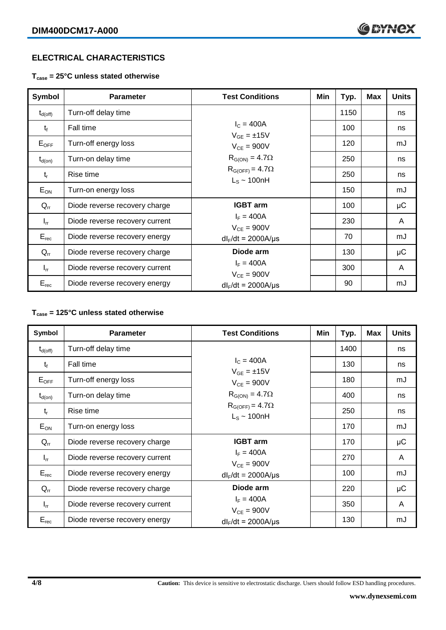## **ELECTRICAL CHARACTERISTICS**

**Tcase = 25°C unless stated otherwise**

| <b>Symbol</b>       | <b>Parameter</b>               | <b>Test Conditions</b>                       | Min | Typ. | <b>Max</b> | <b>Units</b> |
|---------------------|--------------------------------|----------------------------------------------|-----|------|------------|--------------|
| $t_{d(\text{off})}$ | Turn-off delay time            |                                              |     | 1150 |            | ns           |
| $t_{\rm f}$         | Fall time                      | $I_{C} = 400A$<br>$V_{GE} = \pm 15V$         |     | 100  |            | ns           |
| $E_{OFF}$           | Turn-off energy loss           | $V_{CE} = 900V$                              |     | 120  |            | mJ           |
| $t_{d(on)}$         | Turn-on delay time             | $R_{G(ON)} = 4.7\Omega$                      |     | 250  |            | ns           |
| $t_{r}$             | Rise time                      | $R_{G(OFF)} = 4.7\Omega$<br>$L_s \sim 100nH$ |     | 250  |            | ns           |
| $E_{ON}$            | Turn-on energy loss            |                                              |     | 150  |            | mJ           |
| $Q_{rr}$            | Diode reverse recovery charge  | <b>IGBT</b> arm                              |     | 100  |            | μC           |
| $I_{rr}$            | Diode reverse recovery current | $I_F = 400A$<br>$V_{CE} = 900V$              |     | 230  |            | A            |
| $E_{rec}$           | Diode reverse recovery energy  | $dl_F/dt = 2000A/\mu s$                      |     | 70   |            | mJ           |
| $Q_{rr}$            | Diode reverse recovery charge  | Diode arm                                    |     | 130  |            | μC           |
| $I_{rr}$            | Diode reverse recovery current | $I_F = 400A$<br>$V_{CE} = 900V$              |     | 300  |            | A            |
| $E_{rec}$           | Diode reverse recovery energy  | $dl_F/dt = 2000 A/\mu s$                     |     | 90   |            | mJ           |

# **Tcase = 125°C unless stated otherwise**

| Symbol              | <b>Parameter</b>               | <b>Test Conditions</b>                       | Min | Typ. | <b>Max</b> | <b>Units</b> |
|---------------------|--------------------------------|----------------------------------------------|-----|------|------------|--------------|
| $t_{d(\text{off})}$ | Turn-off delay time            |                                              |     | 1400 |            | ns           |
| $t_{\rm f}$         | Fall time                      | $I_{C} = 400A$<br>$V_{GE} = \pm 15V$         |     | 130  |            | ns           |
| $E_{OFF}$           | Turn-off energy loss           | $V_{CE} = 900V$                              |     | 180  |            | mJ           |
| $t_{d(on)}$         | Turn-on delay time             | $R_{G(ON)} = 4.7\Omega$                      |     | 400  |            | ns           |
| $t_{r}$             | Rise time                      | $R_{G(OFF)} = 4.7\Omega$<br>$L_s \sim 100nH$ |     | 250  |            | ns           |
| $E_{ON}$            | Turn-on energy loss            |                                              |     | 170  |            | mJ           |
| $Q_{rr}$            | Diode reverse recovery charge  | <b>IGBT</b> arm                              |     | 170  |            | μC           |
| $I_{rr}$            | Diode reverse recovery current | $I_F = 400A$<br>$V_{CE}$ = 900V              |     | 270  |            | A            |
| $E_{rec}$           | Diode reverse recovery energy  | $dl_F/dt = 2000A/\mu s$                      |     | 100  |            | mJ           |
| $Q_{rr}$            | Diode reverse recovery charge  | Diode arm                                    |     | 220  |            | μC           |
| $I_{rr}$            | Diode reverse recovery current | $I_F = 400A$<br>$V_{CE} = 900V$              |     | 350  |            | A            |
| $E_{rec}$           | Diode reverse recovery energy  | $dl_F/dt = 2000 A/\mu s$                     |     | 130  |            | mJ           |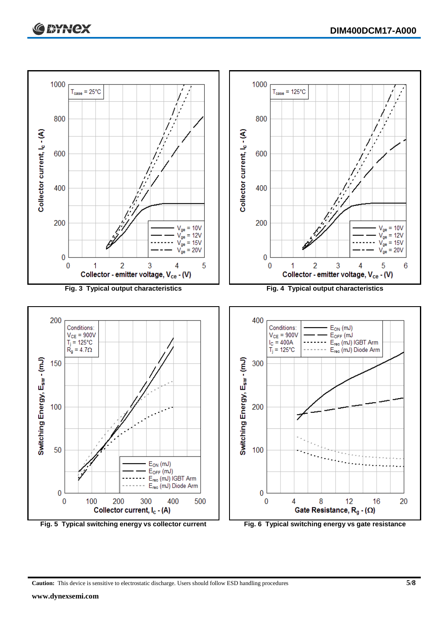

**Caution:** This device is sensitive to electrostatic discharge. Users should follow ESD handling procedures **5/8**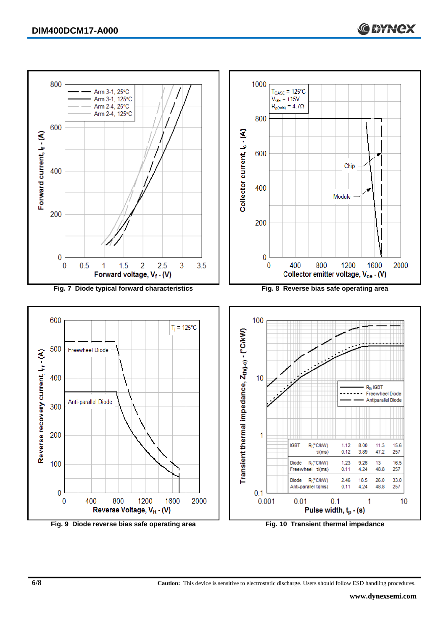

**6/8 Caution:** This device is sensitive to electrostatic discharge. Users should follow ESD handling procedures.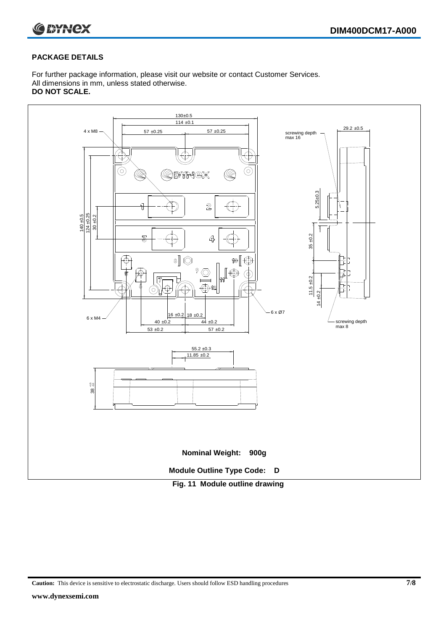

#### **PACKAGE DETAILS**

For further package information, please visit our website or contact Customer Services. All dimensions in mm, unless stated otherwise. **DO NOT SCALE.**



**Caution:** This device is sensitive to electrostatic discharge. Users should follow ESD handling procedures **7/8**